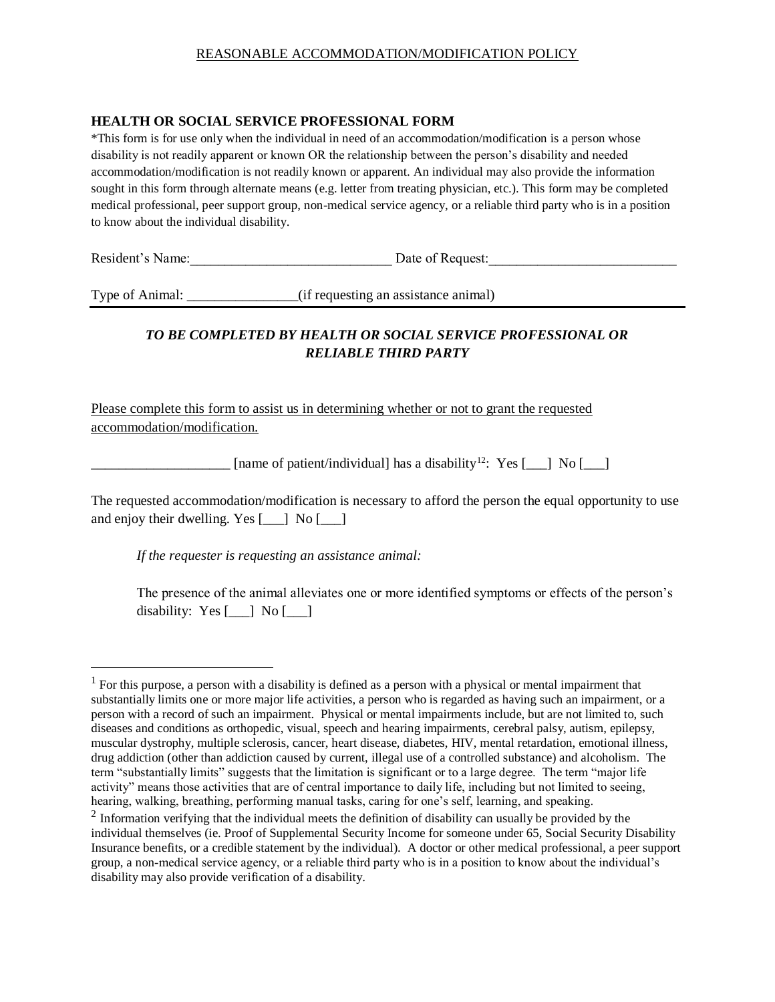## REASONABLE ACCOMMODATION/MODIFICATION POLICY

## **HEALTH OR SOCIAL SERVICE PROFESSIONAL FORM**

\*This form is for use only when the individual in need of an accommodation/modification is a person whose disability is not readily apparent or known OR the relationship between the person's disability and needed accommodation/modification is not readily known or apparent. An individual may also provide the information sought in this form through alternate means (e.g. letter from treating physician, etc.). This form may be completed medical professional, peer support group, non-medical service agency, or a reliable third party who is in a position to know about the individual disability.

Resident's Name: Date of Request:

 $\overline{a}$ 

Type of Animal: \_\_\_\_\_\_\_\_\_\_\_\_\_\_\_\_(if requesting an assistance animal)

## *TO BE COMPLETED BY HEALTH OR SOCIAL SERVICE PROFESSIONAL OR RELIABLE THIRD PARTY*

Please complete this form to assist us in determining whether or not to grant the requested accommodation/modification.

 $\Box$  [name of patient/individual] has a disability<sup>12</sup>: Yes [\_\_] No [\_\_]

The requested accommodation/modification is necessary to afford the person the equal opportunity to use and enjoy their dwelling. Yes [\_\_\_] No [\_\_\_]

*If the requester is requesting an assistance animal:*

The presence of the animal alleviates one or more identified symptoms or effects of the person's disability: Yes [\_\_\_] No [\_\_\_]

<sup>&</sup>lt;sup>1</sup> For this purpose, a person with a disability is defined as a person with a physical or mental impairment that substantially limits one or more major life activities, a person who is regarded as having such an impairment, or a person with a record of such an impairment. Physical or mental impairments include, but are not limited to, such diseases and conditions as orthopedic, visual, speech and hearing impairments, cerebral palsy, autism, epilepsy, muscular dystrophy, multiple sclerosis, cancer, heart disease, diabetes, HIV, mental retardation, emotional illness, drug addiction (other than addiction caused by current, illegal use of a controlled substance) and alcoholism. The term "substantially limits" suggests that the limitation is significant or to a large degree. The term "major life activity" means those activities that are of central importance to daily life, including but not limited to seeing, hearing, walking, breathing, performing manual tasks, caring for one's self, learning, and speaking.

 $2$  Information verifying that the individual meets the definition of disability can usually be provided by the individual themselves (ie. Proof of Supplemental Security Income for someone under 65, Social Security Disability Insurance benefits, or a credible statement by the individual). A doctor or other medical professional, a peer support group, a non-medical service agency, or a reliable third party who is in a position to know about the individual's disability may also provide verification of a disability.